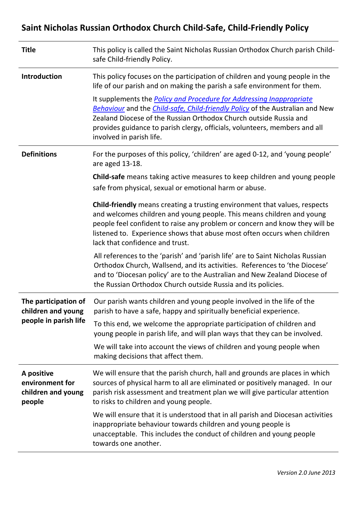# **Saint Nicholas Russian Orthodox Church Child-Safe, Child-Friendly Policy**

| <b>Title</b>                                                        | This policy is called the Saint Nicholas Russian Orthodox Church parish Child-<br>safe Child-friendly Policy.                                                                                                                                                                                                                                             |
|---------------------------------------------------------------------|-----------------------------------------------------------------------------------------------------------------------------------------------------------------------------------------------------------------------------------------------------------------------------------------------------------------------------------------------------------|
| <b>Introduction</b>                                                 | This policy focuses on the participation of children and young people in the<br>life of our parish and on making the parish a safe environment for them.                                                                                                                                                                                                  |
|                                                                     | It supplements the <b>Policy and Procedure for Addressing Inappropriate</b><br><b>Behaviour</b> and the <i>Child-safe, Child-friendly Policy</i> of the Australian and New<br>Zealand Diocese of the Russian Orthodox Church outside Russia and<br>provides guidance to parish clergy, officials, volunteers, members and all<br>involved in parish life. |
| <b>Definitions</b>                                                  | For the purposes of this policy, 'children' are aged 0-12, and 'young people'<br>are aged 13-18.                                                                                                                                                                                                                                                          |
|                                                                     | <b>Child-safe</b> means taking active measures to keep children and young people<br>safe from physical, sexual or emotional harm or abuse.                                                                                                                                                                                                                |
|                                                                     | <b>Child-friendly</b> means creating a trusting environment that values, respects<br>and welcomes children and young people. This means children and young<br>people feel confident to raise any problem or concern and know they will be<br>listened to. Experience shows that abuse most often occurs when children<br>lack that confidence and trust.  |
|                                                                     | All references to the 'parish' and 'parish life' are to Saint Nicholas Russian<br>Orthodox Church, Wallsend, and its activities. References to 'the Diocese'<br>and to 'Diocesan policy' are to the Australian and New Zealand Diocese of<br>the Russian Orthodox Church outside Russia and its policies.                                                 |
| The participation of<br>children and young<br>people in parish life | Our parish wants children and young people involved in the life of the<br>parish to have a safe, happy and spiritually beneficial experience.                                                                                                                                                                                                             |
|                                                                     | To this end, we welcome the appropriate participation of children and<br>young people in parish life, and will plan ways that they can be involved.                                                                                                                                                                                                       |
|                                                                     | We will take into account the views of children and young people when<br>making decisions that affect them.                                                                                                                                                                                                                                               |
| A positive<br>environment for<br>children and young<br>people       | We will ensure that the parish church, hall and grounds are places in which<br>sources of physical harm to all are eliminated or positively managed. In our<br>parish risk assessment and treatment plan we will give particular attention<br>to risks to children and young people.                                                                      |
|                                                                     | We will ensure that it is understood that in all parish and Diocesan activities<br>inappropriate behaviour towards children and young people is<br>unacceptable. This includes the conduct of children and young people<br>towards one another.                                                                                                           |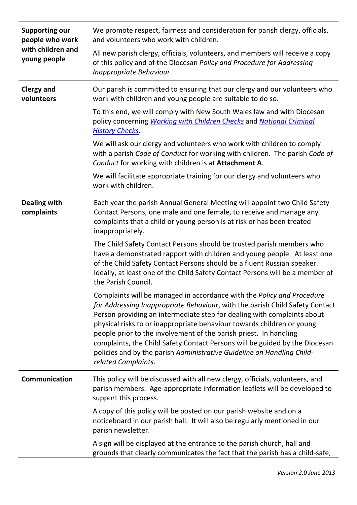| <b>Supporting our</b><br>people who work<br>with children and<br>young people | We promote respect, fairness and consideration for parish clergy, officials,<br>and volunteers who work with children.                                                                                                                                                                                                                                                                                                                                                                                                                                           |
|-------------------------------------------------------------------------------|------------------------------------------------------------------------------------------------------------------------------------------------------------------------------------------------------------------------------------------------------------------------------------------------------------------------------------------------------------------------------------------------------------------------------------------------------------------------------------------------------------------------------------------------------------------|
|                                                                               | All new parish clergy, officials, volunteers, and members will receive a copy<br>of this policy and of the Diocesan Policy and Procedure for Addressing<br>Inappropriate Behaviour.                                                                                                                                                                                                                                                                                                                                                                              |
| <b>Clergy and</b><br>volunteers                                               | Our parish is committed to ensuring that our clergy and our volunteers who<br>work with children and young people are suitable to do so.                                                                                                                                                                                                                                                                                                                                                                                                                         |
|                                                                               | To this end, we will comply with New South Wales law and with Diocesan<br>policy concerning Working with Children Checks and National Criminal<br><b>History Checks.</b>                                                                                                                                                                                                                                                                                                                                                                                         |
|                                                                               | We will ask our clergy and volunteers who work with children to comply<br>with a parish Code of Conduct for working with children. The parish Code of<br>Conduct for working with children is at Attachment A.                                                                                                                                                                                                                                                                                                                                                   |
|                                                                               | We will facilitate appropriate training for our clergy and volunteers who<br>work with children.                                                                                                                                                                                                                                                                                                                                                                                                                                                                 |
| <b>Dealing with</b><br>complaints                                             | Each year the parish Annual General Meeting will appoint two Child Safety<br>Contact Persons, one male and one female, to receive and manage any<br>complaints that a child or young person is at risk or has been treated<br>inappropriately.                                                                                                                                                                                                                                                                                                                   |
|                                                                               | The Child Safety Contact Persons should be trusted parish members who<br>have a demonstrated rapport with children and young people. At least one<br>of the Child Safety Contact Persons should be a fluent Russian speaker.<br>Ideally, at least one of the Child Safety Contact Persons will be a member of<br>the Parish Council.                                                                                                                                                                                                                             |
|                                                                               | Complaints will be managed in accordance with the Policy and Procedure<br>for Addressing Inappropriate Behaviour, with the parish Child Safety Contact<br>Person providing an intermediate step for dealing with complaints about<br>physical risks to or inappropriate behaviour towards children or young<br>people prior to the involvement of the parish priest. In handling<br>complaints, the Child Safety Contact Persons will be guided by the Diocesan<br>policies and by the parish Administrative Guideline on Handling Child-<br>related Complaints. |
| Communication                                                                 | This policy will be discussed with all new clergy, officials, volunteers, and<br>parish members. Age-appropriate information leaflets will be developed to<br>support this process.                                                                                                                                                                                                                                                                                                                                                                              |
|                                                                               | A copy of this policy will be posted on our parish website and on a<br>noticeboard in our parish hall. It will also be regularly mentioned in our<br>parish newsletter.                                                                                                                                                                                                                                                                                                                                                                                          |
|                                                                               | A sign will be displayed at the entrance to the parish church, hall and<br>grounds that clearly communicates the fact that the parish has a child-safe,                                                                                                                                                                                                                                                                                                                                                                                                          |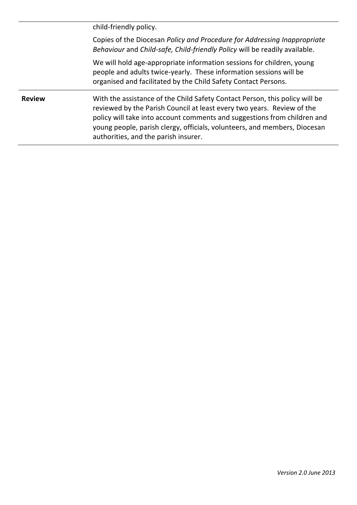child-friendly policy. Copies of the Diocesan *Policy and Procedure for Addressing Inappropriate Behaviour* and *Child-safe, Child-friendly Policy* will be readily available. We will hold age-appropriate information sessions for children, young people and adults twice-yearly. These information sessions will be organised and facilitated by the Child Safety Contact Persons. **Review** With the assistance of the Child Safety Contact Person, this policy will be reviewed by the Parish Council at least every two years. Review of the policy will take into account comments and suggestions from children and young people, parish clergy, officials, volunteers, and members, Diocesan authorities, and the parish insurer.